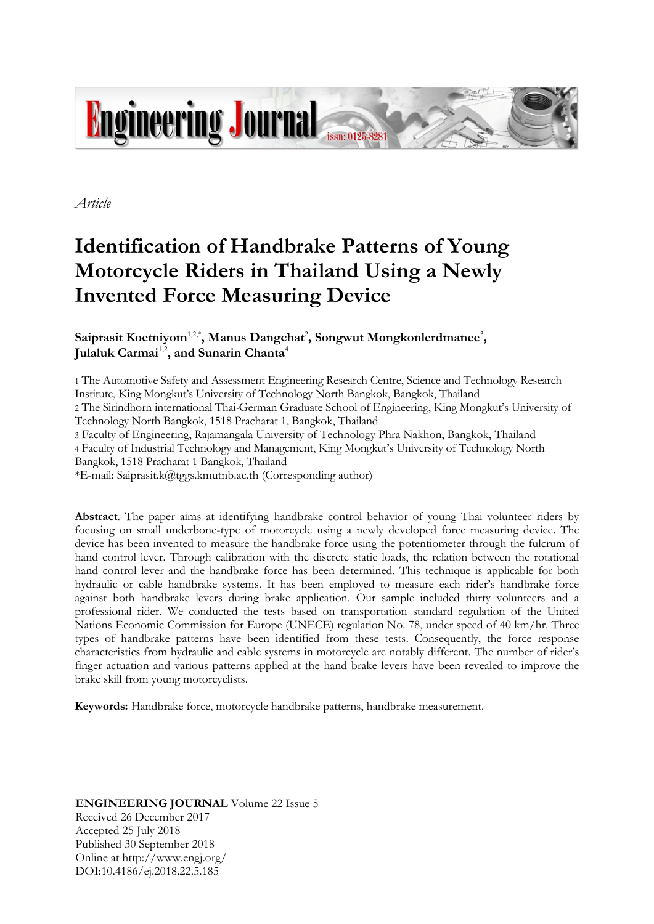

*Article*

# **Identification of Handbrake Patterns of Young Motorcycle Riders in Thailand Using a Newly Invented Force Measuring Device**

# Saiprasit Koetniyom<sup>1,2\*</sup>, Manus Dangchat<sup>2</sup>, Songwut Mongkonlerdmanee<sup>3</sup>, Julaluk Carmai<sup>1,2</sup>, and Sunarin Chanta<sup>4</sup>

1 The Automotive Safety and Assessment Engineering Research Centre, Science and Technology Research Institute, King Mongkut's University of Technology North Bangkok, Bangkok, Thailand

2 The Sirindhorn international Thai*-*German Graduate School of Engineering, King Mongkut's University of Technology North Bangkok, 1518 Pracharat 1, Bangkok, Thailand

3 Faculty of Engineering, Rajamangala University of Technology Phra Nakhon, Bangkok, Thailand

4 Faculty of Industrial Technology and Management, King Mongkut's University of Technology North

Bangkok, 1518 Pracharat 1 Bangkok, Thailand

\*E-mail: Saiprasit.k@tggs.kmutnb.ac.th (Corresponding author)

**Abstract**. The paper aims at identifying handbrake control behavior of young Thai volunteer riders by focusing on small underbone-type of motorcycle using a newly developed force measuring device. The device has been invented to measure the handbrake force using the potentiometer through the fulcrum of hand control lever. Through calibration with the discrete static loads, the relation between the rotational hand control lever and the handbrake force has been determined. This technique is applicable for both hydraulic or cable handbrake systems. It has been employed to measure each rider's handbrake force against both handbrake levers during brake application. Our sample included thirty volunteers and a professional rider. We conducted the tests based on transportation standard regulation of the United Nations Economic Commission for Europe (UNECE) regulation No. 78, under speed of 40 km/hr. Three types of handbrake patterns have been identified from these tests. Consequently, the force response characteristics from hydraulic and cable systems in motorcycle are notably different. The number of rider's finger actuation and various patterns applied at the hand brake levers have been revealed to improve the brake skill from young motorcyclists.

**Keywords:** Handbrake force, motorcycle handbrake patterns, handbrake measurement.

# **ENGINEERING JOURNAL** Volume 22 Issue 5

Received 26 December 2017 Accepted 25 July 2018 Published 30 September 2018 Online at http://www.engj.org/ DOI:10.4186/ej.2018.22.5.185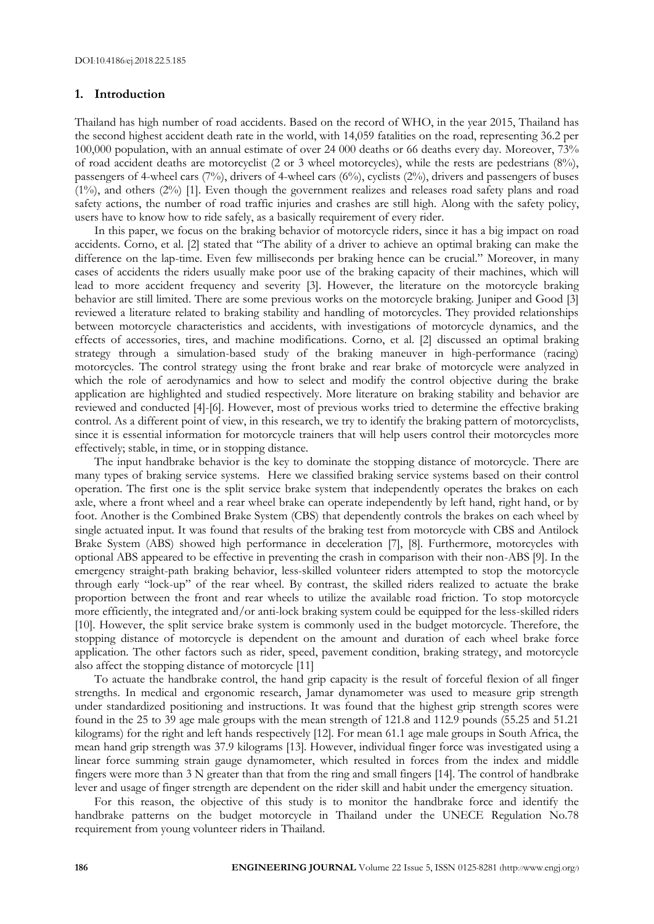#### **1. Introduction**

Thailand has high number of road accidents. Based on the record of WHO, in the year 2015, Thailand has the second highest accident death rate in the world, with 14,059 fatalities on the road, representing 36.2 per 100,000 population, with an annual estimate of over 24 000 deaths or 66 deaths every day. Moreover, 73% of road accident deaths are motorcyclist (2 or 3 wheel motorcycles), while the rests are pedestrians (8%), passengers of 4-wheel cars (7%), drivers of 4-wheel cars (6%), cyclists (2%), drivers and passengers of buses (1%), and others (2%) [1]. Even though the government realizes and releases road safety plans and road safety actions, the number of road traffic injuries and crashes are still high. Along with the safety policy, users have to know how to ride safely, as a basically requirement of every rider.

In this paper, we focus on the braking behavior of motorcycle riders, since it has a big impact on road accidents. Corno, et al. [2] stated that "The ability of a driver to achieve an optimal braking can make the difference on the lap-time. Even few milliseconds per braking hence can be crucial." Moreover, in many cases of accidents the riders usually make poor use of the braking capacity of their machines, which will lead to more accident frequency and severity [3]. However, the literature on the motorcycle braking behavior are still limited. There are some previous works on the motorcycle braking. Juniper and Good [3] reviewed a literature related to braking stability and handling of motorcycles. They provided relationships between motorcycle characteristics and accidents, with investigations of motorcycle dynamics, and the effects of accessories, tires, and machine modifications. Corno, et al. [2] discussed an optimal braking strategy through a simulation-based study of the braking maneuver in high-performance (racing) motorcycles. The control strategy using the front brake and rear brake of motorcycle were analyzed in which the role of aerodynamics and how to select and modify the control objective during the brake application are highlighted and studied respectively. More literature on braking stability and behavior are reviewed and conducted [4]-[6]. However, most of previous works tried to determine the effective braking control. As a different point of view, in this research, we try to identify the braking pattern of motorcyclists, since it is essential information for motorcycle trainers that will help users control their motorcycles more effectively; stable, in time, or in stopping distance.

The input handbrake behavior is the key to dominate the stopping distance of motorcycle. There are many types of braking service systems. Here we classified braking service systems based on their control operation. The first one is the split service brake system that independently operates the brakes on each axle, where a front wheel and a rear wheel brake can operate independently by left hand, right hand, or by foot. Another is the Combined Brake System (CBS) that dependently controls the brakes on each wheel by single actuated input. It was found that results of the braking test from motorcycle with CBS and Antilock Brake System (ABS) showed high performance in deceleration [7], [8]. Furthermore, motorcycles with optional ABS appeared to be effective in preventing the crash in comparison with their non-ABS [9]. In the emergency straight-path braking behavior, less-skilled volunteer riders attempted to stop the motorcycle through early "lock-up" of the rear wheel. By contrast, the skilled riders realized to actuate the brake proportion between the front and rear wheels to utilize the available road friction. To stop motorcycle more efficiently, the integrated and/or anti-lock braking system could be equipped for the less-skilled riders [10]. However, the split service brake system is commonly used in the budget motorcycle. Therefore, the stopping distance of motorcycle is dependent on the amount and duration of each wheel brake force application. The other factors such as rider, speed, pavement condition, braking strategy, and motorcycle also affect the stopping distance of motorcycle [11]

To actuate the handbrake control, the hand grip capacity is the result of forceful flexion of all finger strengths. In medical and ergonomic research, Jamar dynamometer was used to measure grip strength under standardized positioning and instructions. It was found that the highest grip strength scores were found in the 25 to 39 age male groups with the mean strength of 121.8 and 112.9 pounds (55.25 and 51.21 kilograms) for the right and left hands respectively [12]. For mean 61.1 age male groups in South Africa, the mean hand grip strength was 37.9 kilograms [13]. However, individual finger force was investigated using a linear force summing strain gauge dynamometer, which resulted in forces from the index and middle fingers were more than 3 N greater than that from the ring and small fingers [14]. The control of handbrake lever and usage of finger strength are dependent on the rider skill and habit under the emergency situation.

For this reason, the objective of this study is to monitor the handbrake force and identify the handbrake patterns on the budget motorcycle in Thailand under the UNECE Regulation No.78 requirement from young volunteer riders in Thailand.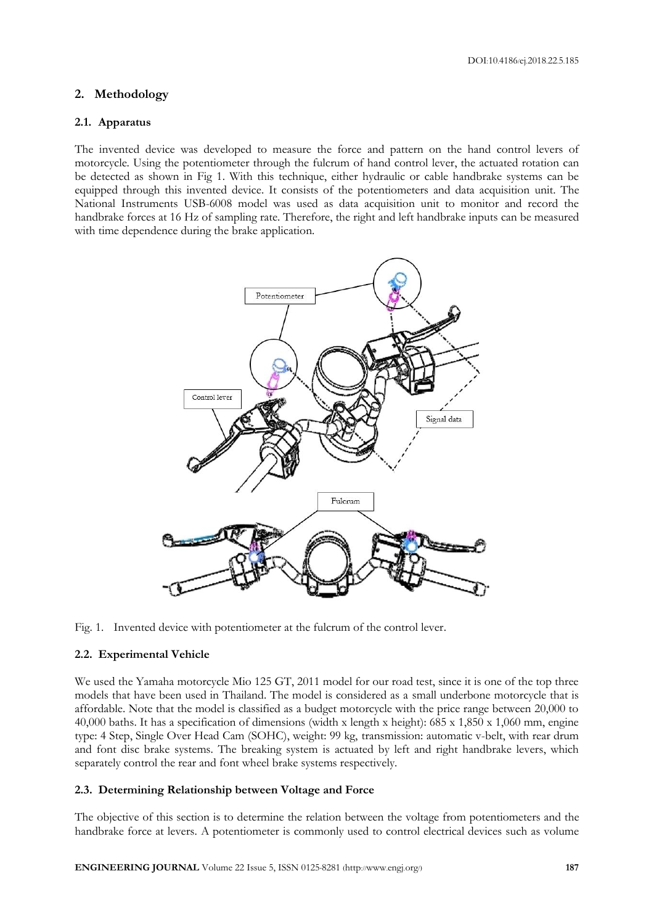## **2. Methodology**

#### **2.1. Apparatus**

The invented device was developed to measure the force and pattern on the hand control levers of motorcycle. Using the potentiometer through the fulcrum of hand control lever, the actuated rotation can be detected as shown in Fig 1. With this technique, either hydraulic or cable handbrake systems can be equipped through this invented device. It consists of the potentiometers and data acquisition unit. The National Instruments USB-6008 model was used as data acquisition unit to monitor and record the handbrake forces at 16 Hz of sampling rate. Therefore, the right and left handbrake inputs can be measured with time dependence during the brake application.



Fig. 1. Invented device with potentiometer at the fulcrum of the control lever.

#### **2.2. Experimental Vehicle**

We used the Yamaha motorcycle Mio 125 GT, 2011 model for our road test, since it is one of the top three models that have been used in Thailand. The model is considered as a small underbone motorcycle that is affordable. Note that the model is classified as a budget motorcycle with the price range between 20,000 to 40,000 baths. It has a specification of dimensions (width x length x height): 685 x 1,850 x 1,060 mm, engine type: 4 Step, Single Over Head Cam (SOHC), weight: 99 kg, transmission: automatic v-belt, with rear drum and font disc brake systems. The breaking system is actuated by left and right handbrake levers, which separately control the rear and font wheel brake systems respectively.

#### **2.3. Determining Relationship between Voltage and Force**

The objective of this section is to determine the relation between the voltage from potentiometers and the handbrake force at levers. A potentiometer is commonly used to control electrical devices such as volume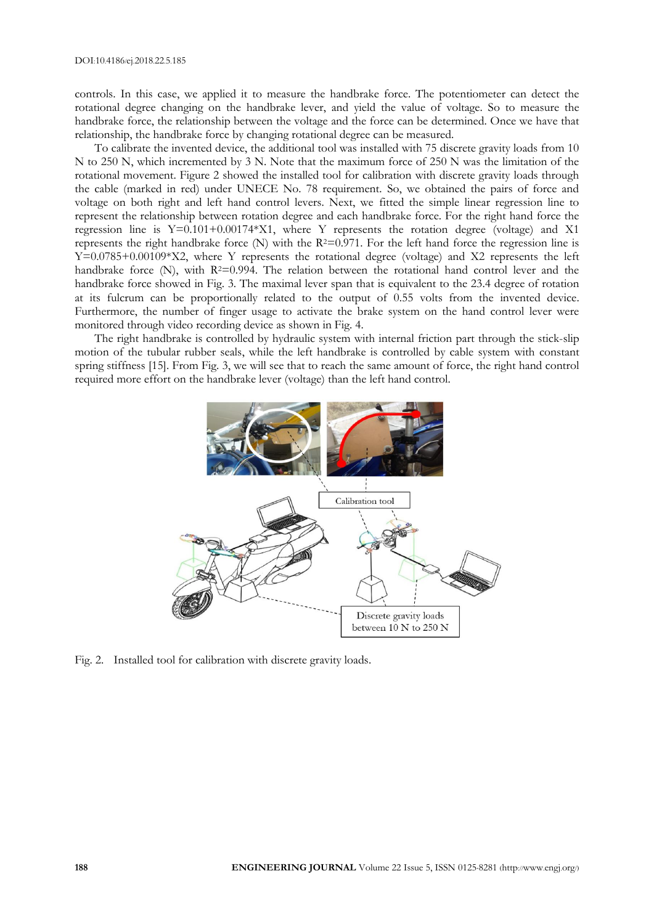controls. In this case, we applied it to measure the handbrake force. The potentiometer can detect the rotational degree changing on the handbrake lever, and yield the value of voltage. So to measure the handbrake force, the relationship between the voltage and the force can be determined. Once we have that relationship, the handbrake force by changing rotational degree can be measured.

To calibrate the invented device, the additional tool was installed with 75 discrete gravity loads from 10 N to 250 N, which incremented by 3 N. Note that the maximum force of 250 N was the limitation of the rotational movement. Figure 2 showed the installed tool for calibration with discrete gravity loads through the cable (marked in red) under UNECE No. 78 requirement. So, we obtained the pairs of force and voltage on both right and left hand control levers. Next, we fitted the simple linear regression line to represent the relationship between rotation degree and each handbrake force. For the right hand force the regression line is Y=0.101+0.00174\*X1, where Y represents the rotation degree (voltage) and X1 represents the right handbrake force  $(N)$  with the R<sup>2=0.971</sup>. For the left hand force the regression line is Y=0.0785+0.00109\*X2, where Y represents the rotational degree (voltage) and X2 represents the left handbrake force (N), with  $R^{2}=0.994$ . The relation between the rotational hand control lever and the handbrake force showed in Fig. 3. The maximal lever span that is equivalent to the 23.4 degree of rotation at its fulcrum can be proportionally related to the output of 0.55 volts from the invented device. Furthermore, the number of finger usage to activate the brake system on the hand control lever were monitored through video recording device as shown in Fig. 4.

The right handbrake is controlled by hydraulic system with internal friction part through the stick-slip motion of the tubular rubber seals, while the left handbrake is controlled by cable system with constant spring stiffness [15]. From Fig. 3, we will see that to reach the same amount of force, the right hand control required more effort on the handbrake lever (voltage) than the left hand control.



Fig. 2. Installed tool for calibration with discrete gravity loads.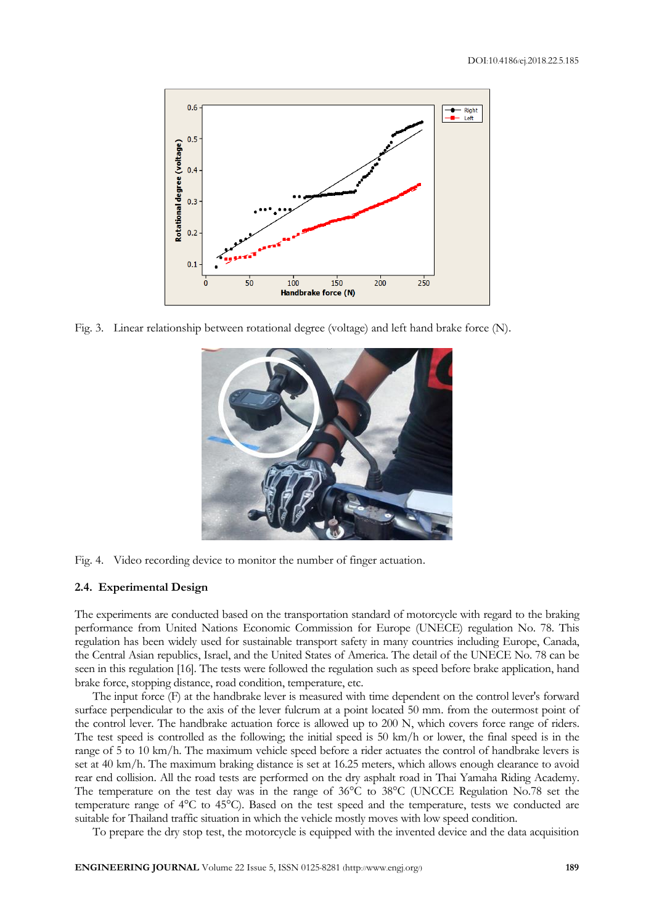

Fig. 3. Linear relationship between rotational degree (voltage) and left hand brake force (N).





#### **2.4. Experimental Design**

The experiments are conducted based on the transportation standard of motorcycle with regard to the braking performance from United Nations Economic Commission for Europe (UNECE) regulation No. 78. This regulation has been widely used for sustainable transport safety in many countries including Europe, Canada, the Central Asian republics, Israel, and the United States of America. The detail of the UNECE No. 78 can be seen in this regulation [16]. The tests were followed the regulation such as speed before brake application, hand brake force, stopping distance, road condition, temperature, etc.

The input force (F) at the handbrake lever is measured with time dependent on the control lever's forward surface perpendicular to the axis of the lever fulcrum at a point located 50 mm. from the outermost point of the control lever. The handbrake actuation force is allowed up to 200 N, which covers force range of riders. The test speed is controlled as the following; the initial speed is 50 km/h or lower, the final speed is in the range of 5 to 10 km/h. The maximum vehicle speed before a rider actuates the control of handbrake levers is set at 40 km/h. The maximum braking distance is set at 16.25 meters, which allows enough clearance to avoid rear end collision. All the road tests are performed on the dry asphalt road in Thai Yamaha Riding Academy. The temperature on the test day was in the range of 36°C to 38°C (UNCCE Regulation No.78 set the temperature range of 4°C to 45°C). Based on the test speed and the temperature, tests we conducted are suitable for Thailand traffic situation in which the vehicle mostly moves with low speed condition.

To prepare the dry stop test, the motorcycle is equipped with the invented device and the data acquisition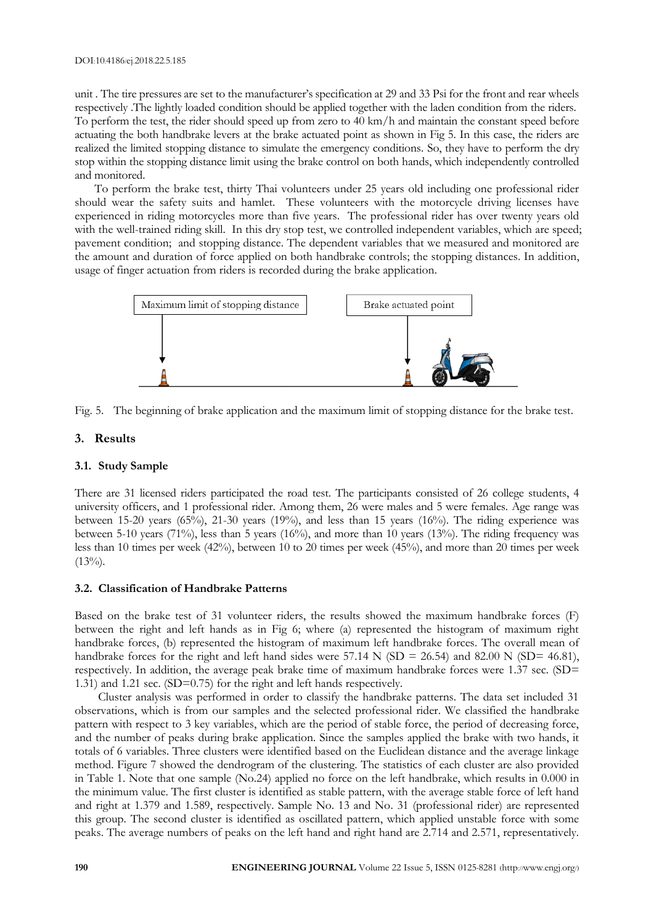unit . The tire pressures are set to the manufacturer's specification at 29 and 33 Psi for the front and rear wheels respectively . The lightly loaded condition should be applied together with the laden condition from the riders. To perform the test, the rider should speed up from zero to 40 km/h and maintain the constant speed before actuating the both handbrake levers at the brake actuated point as shown in Fig 5. In this case, the riders are realized the limited stopping distance to simulate the emergency conditions. So, they have to perform the dry stop within the stopping distance limit using the brake control on both hands, which independently controlled and monitored.

To perform the brake test, thirty Thai volunteers under 25 years old including one professional rider should wear the safety suits and hamlet. These volunteers with the motorcycle driving licenses have experienced in riding motorcycles more than five years. The professional rider has over twenty years old with the well-trained riding skill. In this dry stop test, we controlled independent variables, which are speed; pavement condition; and stopping distance. The dependent variables that we measured and monitored are the amount and duration of force applied on both handbrake controls; the stopping distances. In addition, usage of finger actuation from riders is recorded during the brake application.



Fig. 5. The beginning of brake application and the maximum limit of stopping distance for the brake test.

## **3. Results**

### **3.1. Study Sample**

There are 31 licensed riders participated the road test. The participants consisted of 26 college students, 4 university officers, and 1 professional rider. Among them, 26 were males and 5 were females. Age range was between 15-20 years (65%), 21-30 years (19%), and less than 15 years (16%). The riding experience was between 5-10 years (71%), less than 5 years (16%), and more than 10 years (13%). The riding frequency was less than 10 times per week (42%), between 10 to 20 times per week (45%), and more than 20 times per week  $(13\%)$ .

#### **3.2. Classification of Handbrake Patterns**

Based on the brake test of 31 volunteer riders, the results showed the maximum handbrake forces (F) between the right and left hands as in Fig 6; where (a) represented the histogram of maximum right handbrake forces, (b) represented the histogram of maximum left handbrake forces. The overall mean of handbrake forces for the right and left hand sides were 57.14 N (SD = 26.54) and 82.00 N (SD= 46.81), respectively. In addition, the average peak brake time of maximum handbrake forces were 1.37 sec. (SD= 1.31) and 1.21 sec. (SD=0.75) for the right and left hands respectively.

Cluster analysis was performed in order to classify the handbrake patterns. The data set included 31 observations, which is from our samples and the selected professional rider. We classified the handbrake pattern with respect to 3 key variables, which are the period of stable force, the period of decreasing force, and the number of peaks during brake application. Since the samples applied the brake with two hands, it totals of 6 variables. Three clusters were identified based on the Euclidean distance and the average linkage method. Figure 7 showed the dendrogram of the clustering. The statistics of each cluster are also provided in Table 1. Note that one sample (No.24) applied no force on the left handbrake, which results in 0.000 in the minimum value. The first cluster is identified as stable pattern, with the average stable force of left hand and right at 1.379 and 1.589, respectively. Sample No. 13 and No. 31 (professional rider) are represented this group. The second cluster is identified as oscillated pattern, which applied unstable force with some peaks. The average numbers of peaks on the left hand and right hand are 2.714 and 2.571, representatively.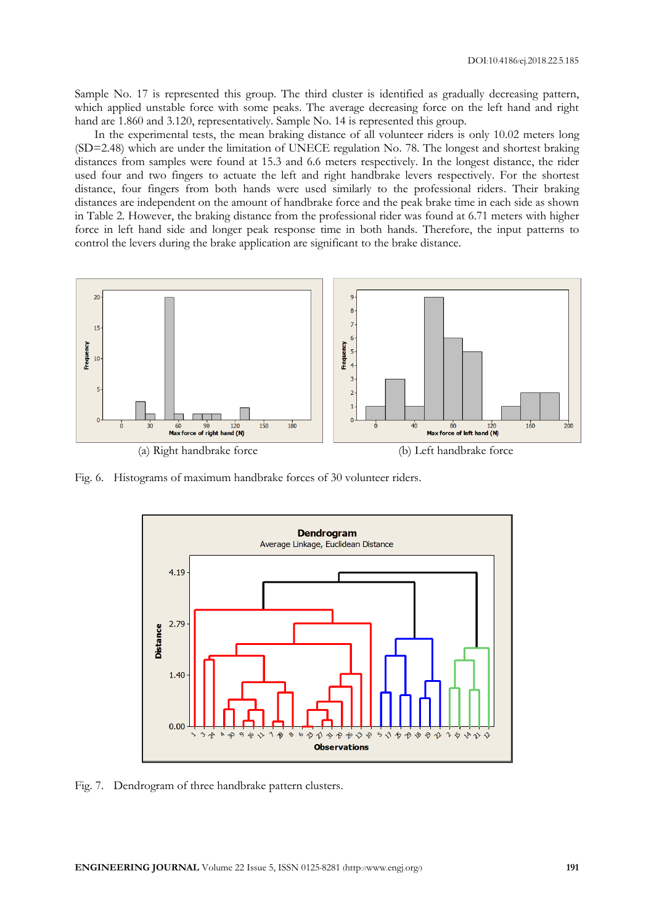Sample No. 17 is represented this group. The third cluster is identified as gradually decreasing pattern, which applied unstable force with some peaks. The average decreasing force on the left hand and right hand are 1.860 and 3.120, representatively. Sample No. 14 is represented this group.

In the experimental tests, the mean braking distance of all volunteer riders is only 10.02 meters long (SD=2.48) which are under the limitation of UNECE regulation No. 78. The longest and shortest braking distances from samples were found at 15.3 and 6.6 meters respectively. In the longest distance, the rider used four and two fingers to actuate the left and right handbrake levers respectively. For the shortest distance, four fingers from both hands were used similarly to the professional riders. Their braking distances are independent on the amount of handbrake force and the peak brake time in each side as shown in Table 2. However, the braking distance from the professional rider was found at 6.71 meters with higher force in left hand side and longer peak response time in both hands. Therefore, the input patterns to control the levers during the brake application are significant to the brake distance.



Fig. 6. Histograms of maximum handbrake forces of 30 volunteer riders.



Fig. 7. Dendrogram of three handbrake pattern clusters.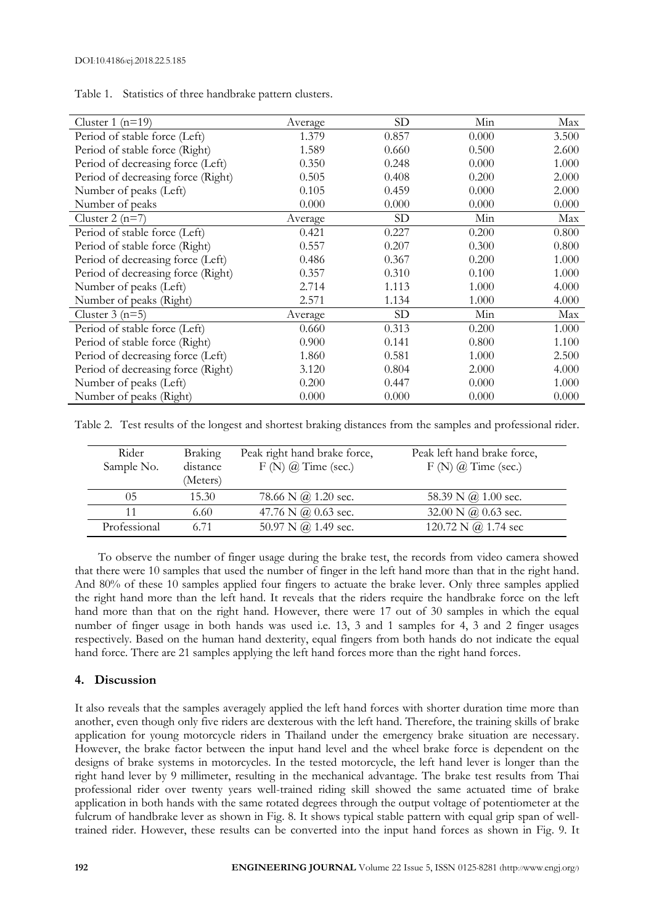| Cluster $1(n=19)$                  | Average | SD             | Min   | Max   |
|------------------------------------|---------|----------------|-------|-------|
| Period of stable force (Left)      | 1.379   | 0.857          | 0.000 | 3.500 |
| Period of stable force (Right)     | 1.589   | 0.660          | 0.500 | 2.600 |
| Period of decreasing force (Left)  | 0.350   | 0.248          | 0.000 | 1.000 |
| Period of decreasing force (Right) | 0.505   | 0.408          | 0.200 | 2.000 |
| Number of peaks (Left)             | 0.105   | 0.459          | 0.000 | 2.000 |
| Number of peaks                    | 0.000   | 0.000          | 0.000 | 0.000 |
| Cluster $2(n=7)$                   | Average | <b>SD</b>      | Min   | Max   |
| Period of stable force (Left)      | 0.421   | 0.227          | 0.200 | 0.800 |
| Period of stable force (Right)     | 0.557   | 0.207          | 0.300 | 0.800 |
| Period of decreasing force (Left)  | 0.486   | 0.367          | 0.200 | 1.000 |
| Period of decreasing force (Right) | 0.357   | 0.310          | 0.100 | 1.000 |
| Number of peaks (Left)             | 2.714   | 1.113          | 1.000 | 4.000 |
| Number of peaks (Right)            | 2.571   | 1.134          | 1.000 | 4.000 |
| Cluster $3(n=5)$                   | Average | SD <sub></sub> | Min   | Max   |
| Period of stable force (Left)      | 0.660   | 0.313          | 0.200 | 1.000 |
| Period of stable force (Right)     | 0.900   | 0.141          | 0.800 | 1.100 |
| Period of decreasing force (Left)  | 1.860   | 0.581          | 1.000 | 2.500 |
| Period of decreasing force (Right) | 3.120   | 0.804          | 2.000 | 4.000 |
| Number of peaks (Left)             | 0.200   | 0.447          | 0.000 | 1.000 |
| Number of peaks (Right)            | 0.000   | 0.000          | 0.000 | 0.000 |

Table 1. Statistics of three handbrake pattern clusters.

Table 2. Test results of the longest and shortest braking distances from the samples and professional rider.

| Rider<br>Sample No. | <b>Braking</b><br>distance<br>(Meters) | Peak right hand brake force,<br>$F(N)$ $\omega$ Time (sec.) | Peak left hand brake force,<br>$F(N)$ $\omega$ Time (sec.) |
|---------------------|----------------------------------------|-------------------------------------------------------------|------------------------------------------------------------|
| 05                  | 15.30                                  | 78.66 N $\omega$ 1.20 sec.                                  | 58.39 N $\omega$ 1.00 sec.                                 |
|                     | 6.60                                   | 47.76 N $\omega$ 0.63 sec.                                  | 32.00 N $\omega$ 0.63 sec.                                 |
| Professional        | 6.71                                   | 50.97 N @ 1.49 sec.                                         | 120.72 N $\omega$ 1.74 sec                                 |

To observe the number of finger usage during the brake test, the records from video camera showed that there were 10 samples that used the number of finger in the left hand more than that in the right hand. And 80% of these 10 samples applied four fingers to actuate the brake lever. Only three samples applied the right hand more than the left hand. It reveals that the riders require the handbrake force on the left hand more than that on the right hand. However, there were 17 out of 30 samples in which the equal number of finger usage in both hands was used i.e. 13, 3 and 1 samples for 4, 3 and 2 finger usages respectively. Based on the human hand dexterity, equal fingers from both hands do not indicate the equal hand force. There are 21 samples applying the left hand forces more than the right hand forces.

## **4. Discussion**

It also reveals that the samples averagely applied the left hand forces with shorter duration time more than another, even though only five riders are dexterous with the left hand. Therefore, the training skills of brake application for young motorcycle riders in Thailand under the emergency brake situation are necessary. However, the brake factor between the input hand level and the wheel brake force is dependent on the designs of brake systems in motorcycles. In the tested motorcycle, the left hand lever is longer than the right hand lever by 9 millimeter, resulting in the mechanical advantage. The brake test results from Thai professional rider over twenty years well-trained riding skill showed the same actuated time of brake application in both hands with the same rotated degrees through the output voltage of potentiometer at the fulcrum of handbrake lever as shown in Fig. 8. It shows typical stable pattern with equal grip span of welltrained rider. However, these results can be converted into the input hand forces as shown in Fig. 9. It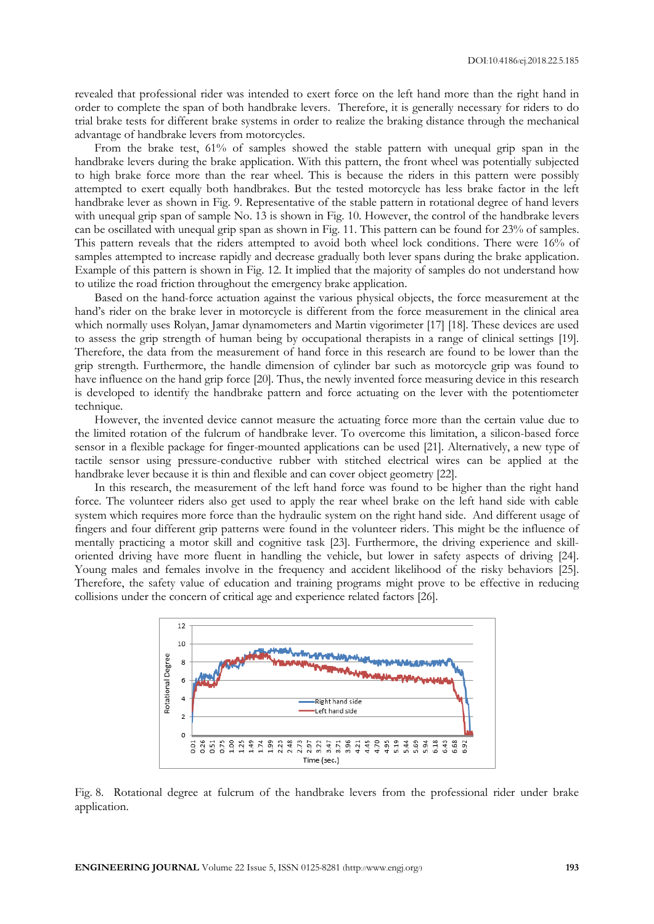revealed that professional rider was intended to exert force on the left hand more than the right hand in order to complete the span of both handbrake levers. Therefore, it is generally necessary for riders to do trial brake tests for different brake systems in order to realize the braking distance through the mechanical advantage of handbrake levers from motorcycles.

From the brake test, 61% of samples showed the stable pattern with unequal grip span in the handbrake levers during the brake application. With this pattern, the front wheel was potentially subjected to high brake force more than the rear wheel. This is because the riders in this pattern were possibly attempted to exert equally both handbrakes. But the tested motorcycle has less brake factor in the left handbrake lever as shown in Fig. 9. Representative of the stable pattern in rotational degree of hand levers with unequal grip span of sample No. 13 is shown in Fig. 10. However, the control of the handbrake levers can be oscillated with unequal grip span as shown in Fig. 11. This pattern can be found for 23% of samples. This pattern reveals that the riders attempted to avoid both wheel lock conditions. There were 16% of samples attempted to increase rapidly and decrease gradually both lever spans during the brake application. Example of this pattern is shown in Fig. 12. It implied that the majority of samples do not understand how to utilize the road friction throughout the emergency brake application.

Based on the hand-force actuation against the various physical objects, the force measurement at the hand's rider on the brake lever in motorcycle is different from the force measurement in the clinical area which normally uses Rolyan, Jamar dynamometers and Martin vigorimeter [17] [18]. These devices are used to assess the grip strength of human being by occupational therapists in a range of clinical settings [19]. Therefore, the data from the measurement of hand force in this research are found to be lower than the grip strength. Furthermore, the handle dimension of cylinder bar such as motorcycle grip was found to have influence on the hand grip force [20]. Thus, the newly invented force measuring device in this research is developed to identify the handbrake pattern and force actuating on the lever with the potentiometer technique.

However, the invented device cannot measure the actuating force more than the certain value due to the limited rotation of the fulcrum of handbrake lever. To overcome this limitation, a silicon-based force sensor in a flexible package for finger-mounted applications can be used [21]. Alternatively, a new type of tactile sensor using pressure-conductive rubber with stitched electrical wires can be applied at the handbrake lever because it is thin and flexible and can cover object geometry [22].

In this research, the measurement of the left hand force was found to be higher than the right hand force. The volunteer riders also get used to apply the rear wheel brake on the left hand side with cable system which requires more force than the hydraulic system on the right hand side. And different usage of fingers and four different grip patterns were found in the volunteer riders. This might be the influence of mentally practicing a motor skill and cognitive task [23]. Furthermore, the driving experience and skilloriented driving have more fluent in handling the vehicle, but lower in safety aspects of driving [24]. Young males and females involve in the frequency and accident likelihood of the risky behaviors [25]. Therefore, the safety value of education and training programs might prove to be effective in reducing collisions under the concern of critical age and experience related factors [26].



Fig. 8. Rotational degree at fulcrum of the handbrake levers from the professional rider under brake application.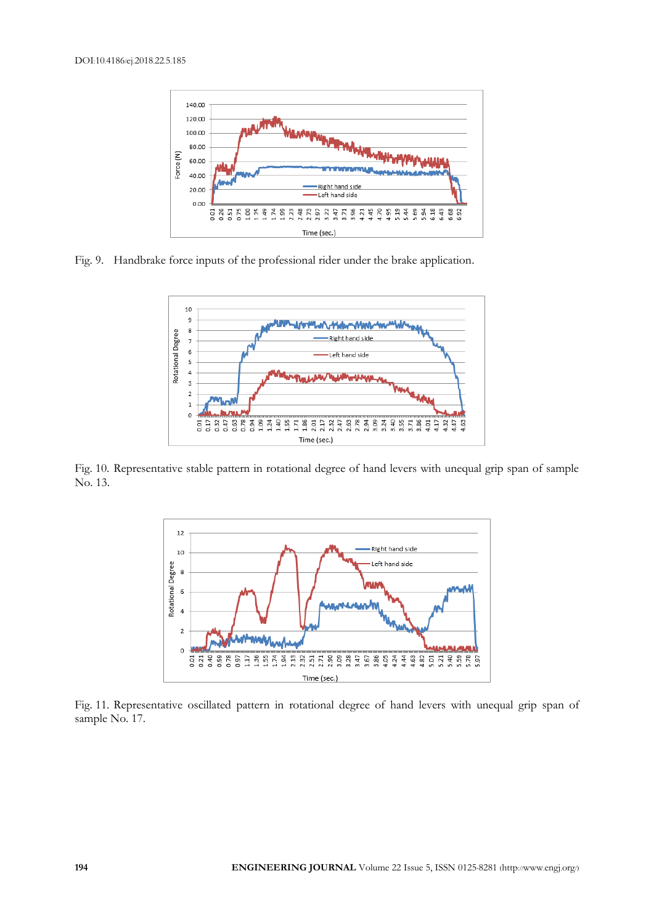

Fig. 9. Handbrake force inputs of the professional rider under the brake application.



Fig. 10. Representative stable pattern in rotational degree of hand levers with unequal grip span of sample No. 13.



Fig. 11. Representative oscillated pattern in rotational degree of hand levers with unequal grip span of sample No. 17.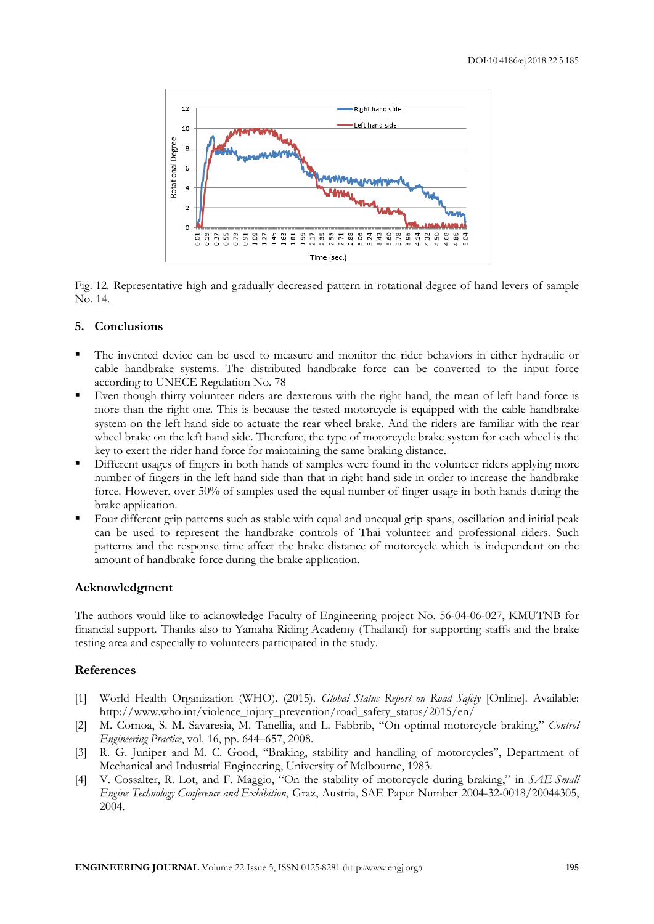

Fig. 12. Representative high and gradually decreased pattern in rotational degree of hand levers of sample No. 14.

## **5. Conclusions**

- The invented device can be used to measure and monitor the rider behaviors in either hydraulic or cable handbrake systems. The distributed handbrake force can be converted to the input force according to UNECE Regulation No. 78
- Even though thirty volunteer riders are dexterous with the right hand, the mean of left hand force is more than the right one. This is because the tested motorcycle is equipped with the cable handbrake system on the left hand side to actuate the rear wheel brake. And the riders are familiar with the rear wheel brake on the left hand side. Therefore, the type of motorcycle brake system for each wheel is the key to exert the rider hand force for maintaining the same braking distance.
- Different usages of fingers in both hands of samples were found in the volunteer riders applying more number of fingers in the left hand side than that in right hand side in order to increase the handbrake force. However, over 50% of samples used the equal number of finger usage in both hands during the brake application.
- Four different grip patterns such as stable with equal and unequal grip spans, oscillation and initial peak can be used to represent the handbrake controls of Thai volunteer and professional riders. Such patterns and the response time affect the brake distance of motorcycle which is independent on the amount of handbrake force during the brake application.

# **Acknowledgment**

The authors would like to acknowledge Faculty of Engineering project No. 56-04-06-027, KMUTNB for financial support. Thanks also to Yamaha Riding Academy (Thailand) for supporting staffs and the brake testing area and especially to volunteers participated in the study.

# **References**

- [1] World Health Organization (WHO). (2015). *Global Status Report on Road Safety* [Online]. Available: http://www.who.int/violence\_injury\_prevention/road\_safety\_status/2015/en/
- [2] M. Cornoa, S. M. Savaresia, M. Tanellia, and L. Fabbrib, "On optimal motorcycle braking," *Control Engineering Practice*, vol. 16, pp. 644–657, 2008.
- [3] R. G. Juniper and M. C. Good, "Braking, stability and handling of motorcycles", Department of Mechanical and Industrial Engineering, University of Melbourne, 1983.
- [4] V. Cossalter, R. Lot, and F. Maggio, "On the stability of motorcycle during braking," in *SAE Small Engine Technology Conference and Exhibition*, Graz, Austria, SAE Paper Number 2004-32-0018/20044305, 2004.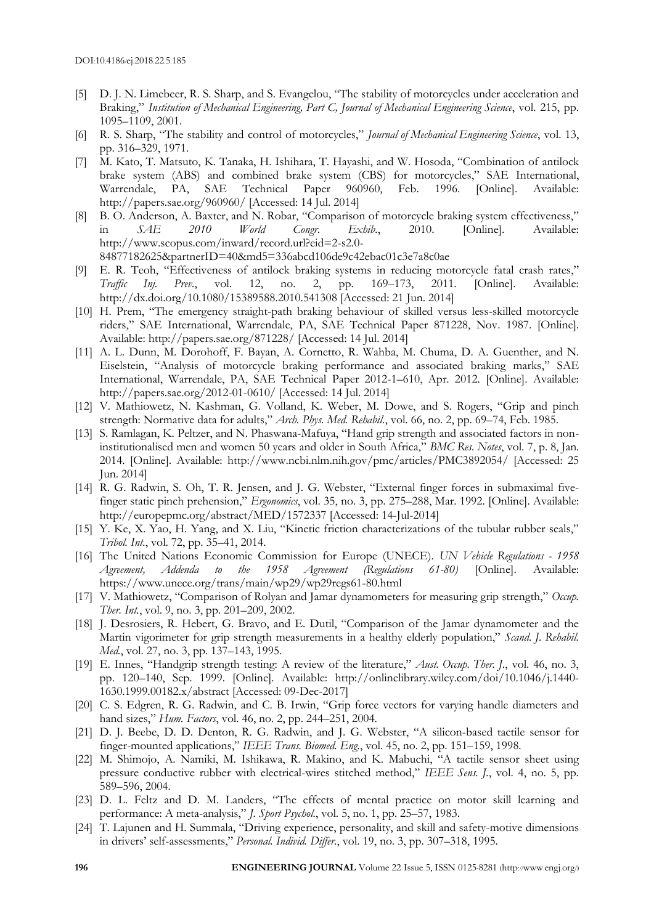- [5] D. J. N. Limebeer, R. S. Sharp, and S. Evangelou, "The stability of motorcycles under acceleration and Braking," *Institution of Mechanical Engineering, Part C, Journal of Mechanical Engineering Science*, vol. 215, pp. 1095–1109, 2001.
- [6] R. S. Sharp, "The stability and control of motorcycles," *Journal of Mechanical Engineering Science*, vol. 13, pp. 316–329, 1971.
- [7] M. Kato, T. Matsuto, K. Tanaka, H. Ishihara, T. Hayashi, and W. Hosoda, "Combination of antilock brake system (ABS) and combined brake system (CBS) for motorcycles," SAE International, Warrendale, PA, SAE Technical Paper 960960, Feb. 1996. [Online]. Available: http://papers.sae.org/960960/ [Accessed: 14 Jul. 2014]
- [8] B. O. Anderson, A. Baxter, and N. Robar, "Comparison of motorcycle braking system effectiveness," in *SAE 2010 World Congr. Exhib.*, 2010. [Online]. Available: http://www.scopus.com/inward/record.url?eid=2-s2.0- 84877182625&partnerID=40&md5=336abcd106de9c42ebac01c3e7a8c0ae
- [9] E. R. Teoh, "Effectiveness of antilock braking systems in reducing motorcycle fatal crash rates," *Traffic Inj. Prev.*, vol. 12, no. 2, pp. 169–173, 2011. [Online]. Available: http://dx.doi.org/10.1080/15389588.2010.541308 [Accessed: 21 Jun. 2014]
- [10] H. Prem, "The emergency straight-path braking behaviour of skilled versus less-skilled motorcycle riders," SAE International, Warrendale, PA, SAE Technical Paper 871228, Nov. 1987. [Online]. Available: http://papers.sae.org/871228/ [Accessed: 14 Jul. 2014]
- [11] A. L. Dunn, M. Dorohoff, F. Bayan, A. Cornetto, R. Wahba, M. Chuma, D. A. Guenther, and N. Eiselstein, "Analysis of motorcycle braking performance and associated braking marks," SAE International, Warrendale, PA, SAE Technical Paper 2012-1–610, Apr. 2012. [Online]. Available: http://papers.sae.org/2012-01-0610/ [Accessed: 14 Jul. 2014]
- [12] V. Mathiowetz, N. Kashman, G. Volland, K. Weber, M. Dowe, and S. Rogers, "Grip and pinch strength: Normative data for adults," *Arch. Phys. Med. Rehabil.*, vol. 66, no. 2, pp. 69–74, Feb. 1985.
- [13] S. Ramlagan, K. Peltzer, and N. Phaswana-Mafuya, "Hand grip strength and associated factors in noninstitutionalised men and women 50 years and older in South Africa," *BMC Res. Notes*, vol. 7, p. 8, Jan. 2014. [Online]. Available: http://www.ncbi.nlm.nih.gov/pmc/articles/PMC3892054/ [Accessed: 25 Jun. 2014]
- [14] R. G. Radwin, S. Oh, T. R. Jensen, and J. G. Webster, "External finger forces in submaximal fivefinger static pinch prehension," *Ergonomics*, vol. 35, no. 3, pp. 275–288, Mar. 1992. [Online]. Available: http://europepmc.org/abstract/MED/1572337 [Accessed: 14-Jul-2014]
- [15] Y. Ke, X. Yao, H. Yang, and X. Liu, "Kinetic friction characterizations of the tubular rubber seals," *Tribol. Int.*, vol. 72, pp. 35–41, 2014.
- [16] The United Nations Economic Commission for Europe (UNECE). *UN Vehicle Regulations - 1958 Agreement, Addenda to the 1958 Agreement (Regulations 61-80)* [Online]. Available: https://www.unece.org/trans/main/wp29/wp29regs61-80.html
- [17] V. Mathiowetz, "Comparison of Rolyan and Jamar dynamometers for measuring grip strength," *Occup. Ther. Int.*, vol. 9, no. 3, pp. 201–209, 2002.
- [18] J. Desrosiers, R. Hebert, G. Bravo, and E. Dutil, "Comparison of the Jamar dynamometer and the Martin vigorimeter for grip strength measurements in a healthy elderly population," *Scand. J. Rehabil. Med.*, vol. 27, no. 3, pp. 137–143, 1995.
- [19] E. Innes, "Handgrip strength testing: A review of the literature," *Aust. Occup. Ther. J.*, vol. 46, no. 3, pp. 120–140, Sep. 1999. [Online]. Available: http://onlinelibrary.wiley.com/doi/10.1046/j.1440- 1630.1999.00182.x/abstract [Accessed: 09-Dec-2017]
- [20] C. S. Edgren, R. G. Radwin, and C. B. Irwin, "Grip force vectors for varying handle diameters and hand sizes," *Hum. Factors*, vol. 46, no. 2, pp. 244–251, 2004.
- [21] D. J. Beebe, D. D. Denton, R. G. Radwin, and J. G. Webster, "A silicon-based tactile sensor for finger-mounted applications," *IEEE Trans. Biomed. Eng.*, vol. 45, no. 2, pp. 151–159, 1998.
- [22] M. Shimojo, A. Namiki, M. Ishikawa, R. Makino, and K. Mabuchi, "A tactile sensor sheet using pressure conductive rubber with electrical-wires stitched method," *IEEE Sens. J.*, vol. 4, no. 5, pp. 589–596, 2004.
- [23] D. L. Feltz and D. M. Landers, "The effects of mental practice on motor skill learning and performance: A meta-analysis," *J. Sport Psychol.*, vol. 5, no. 1, pp. 25–57, 1983.
- [24] T. Lajunen and H. Summala, "Driving experience, personality, and skill and safety-motive dimensions in drivers' self-assessments," *Personal. Individ. Differ.*, vol. 19, no. 3, pp. 307–318, 1995.